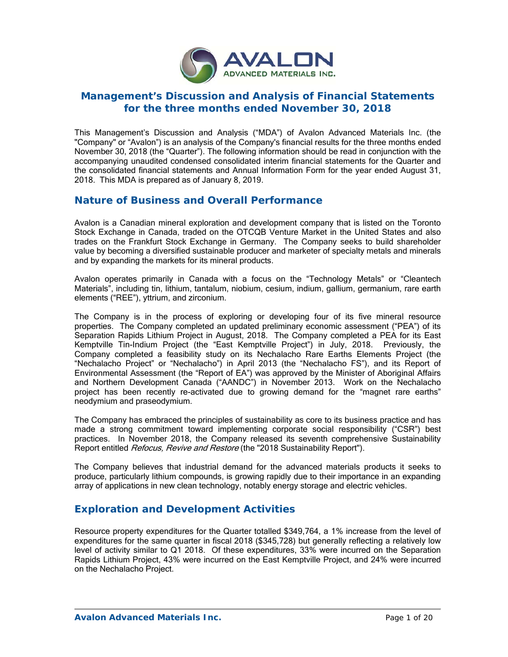

## **Management's Discussion and Analysis of Financial Statements for the three months ended November 30, 2018**

This Management's Discussion and Analysis ("MDA") of Avalon Advanced Materials Inc. (the "Company" or "Avalon") is an analysis of the Company's financial results for the three months ended November 30, 2018 (the "Quarter"). The following information should be read in conjunction with the accompanying unaudited condensed consolidated interim financial statements for the Quarter and the consolidated financial statements and Annual Information Form for the year ended August 31, 2018. This MDA is prepared as of January 8, 2019.

## **Nature of Business and Overall Performance**

Avalon is a Canadian mineral exploration and development company that is listed on the Toronto Stock Exchange in Canada, traded on the OTCQB Venture Market in the United States and also trades on the Frankfurt Stock Exchange in Germany. The Company seeks to build shareholder value by becoming a diversified sustainable producer and marketer of specialty metals and minerals and by expanding the markets for its mineral products.

Avalon operates primarily in Canada with a focus on the "Technology Metals" or "Cleantech Materials", including tin, lithium, tantalum, niobium, cesium, indium, gallium, germanium, rare earth elements ("REE"), yttrium, and zirconium.

The Company is in the process of exploring or developing four of its five mineral resource properties. The Company completed an updated preliminary economic assessment ("PEA") of its Separation Rapids Lithium Project in August, 2018. The Company completed a PEA for its East Kemptville Tin-Indium Project (the "East Kemptville Project") in July, 2018. Previously, the Company completed a feasibility study on its Nechalacho Rare Earths Elements Project (the "Nechalacho Project" or "Nechalacho") in April 2013 (the "Nechalacho FS"), and its Report of Environmental Assessment (the "Report of EA") was approved by the Minister of Aboriginal Affairs and Northern Development Canada ("AANDC") in November 2013. Work on the Nechalacho project has been recently re-activated due to growing demand for the "magnet rare earths" neodymium and praseodymium.

The Company has embraced the principles of sustainability as core to its business practice and has made a strong commitment toward implementing corporate social responsibility ("CSR") best practices. In November 2018, the Company released its seventh comprehensive Sustainability Report entitled *Refocus, Revive and Restore* (the "2018 Sustainability Report").

The Company believes that industrial demand for the advanced materials products it seeks to produce, particularly lithium compounds, is growing rapidly due to their importance in an expanding array of applications in new clean technology, notably energy storage and electric vehicles.

### **Exploration and Development Activities**

Resource property expenditures for the Quarter totalled \$349,764, a 1% increase from the level of expenditures for the same quarter in fiscal 2018 (\$345,728) but generally reflecting a relatively low level of activity similar to Q1 2018. Of these expenditures, 33% were incurred on the Separation Rapids Lithium Project, 43% were incurred on the East Kemptville Project, and 24% were incurred on the Nechalacho Project.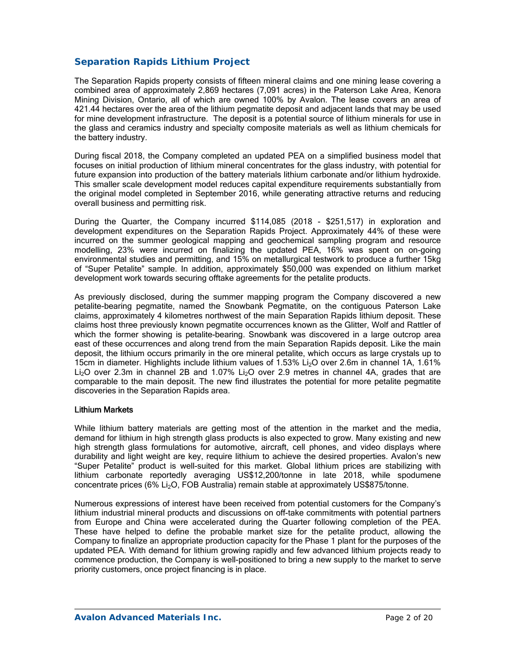### *Separation Rapids Lithium Project*

The Separation Rapids property consists of fifteen mineral claims and one mining lease covering a combined area of approximately 2,869 hectares (7,091 acres) in the Paterson Lake Area, Kenora Mining Division, Ontario, all of which are owned 100% by Avalon. The lease covers an area of 421.44 hectares over the area of the lithium pegmatite deposit and adjacent lands that may be used for mine development infrastructure. The deposit is a potential source of lithium minerals for use in the glass and ceramics industry and specialty composite materials as well as lithium chemicals for the battery industry.

During fiscal 2018, the Company completed an updated PEA on a simplified business model that focuses on initial production of lithium mineral concentrates for the glass industry, with potential for future expansion into production of the battery materials lithium carbonate and/or lithium hydroxide. This smaller scale development model reduces capital expenditure requirements substantially from the original model completed in September 2016, while generating attractive returns and reducing overall business and permitting risk.

During the Quarter, the Company incurred \$114,085 (2018 - \$251,517) in exploration and development expenditures on the Separation Rapids Project. Approximately 44% of these were incurred on the summer geological mapping and geochemical sampling program and resource modelling, 23% were incurred on finalizing the updated PEA, 16% was spent on on-going environmental studies and permitting, and 15% on metallurgical testwork to produce a further 15kg of "Super Petalite" sample. In addition, approximately \$50,000 was expended on lithium market development work towards securing offtake agreements for the petalite products.

As previously disclosed, during the summer mapping program the Company discovered a new petalite-bearing pegmatite, named the Snowbank Pegmatite, on the contiguous Paterson Lake claims, approximately 4 kilometres northwest of the main Separation Rapids lithium deposit. These claims host three previously known pegmatite occurrences known as the Glitter, Wolf and Rattler of which the former showing is petalite-bearing. Snowbank was discovered in a large outcrop area east of these occurrences and along trend from the main Separation Rapids deposit. Like the main deposit, the lithium occurs primarily in the ore mineral petalite, which occurs as large crystals up to 15cm in diameter. Highlights include lithium values of 1.53% Li2O over 2.6m in channel 1A, 1.61%  $Li<sub>2</sub>O$  over 2.3m in channel 2B and 1.07% Li<sub>2</sub>O over 2.9 metres in channel 4A, grades that are comparable to the main deposit. The new find illustrates the potential for more petalite pegmatite discoveries in the Separation Rapids area.

#### Lithium Markets

While lithium battery materials are getting most of the attention in the market and the media, demand for lithium in high strength glass products is also expected to grow. Many existing and new high strength glass formulations for automotive, aircraft, cell phones, and video displays where durability and light weight are key, require lithium to achieve the desired properties. Avalon's new "Super Petalite" product is well-suited for this market. Global lithium prices are stabilizing with lithium carbonate reportedly averaging US\$12,200/tonne in late 2018, while spodumene concentrate prices (6% Li<sub>2</sub>O, FOB Australia) remain stable at approximately US\$875/tonne.

Numerous expressions of interest have been received from potential customers for the Company's lithium industrial mineral products and discussions on off-take commitments with potential partners from Europe and China were accelerated during the Quarter following completion of the PEA. These have helped to define the probable market size for the petalite product, allowing the Company to finalize an appropriate production capacity for the Phase 1 plant for the purposes of the updated PEA. With demand for lithium growing rapidly and few advanced lithium projects ready to commence production, the Company is well-positioned to bring a new supply to the market to serve priority customers, once project financing is in place.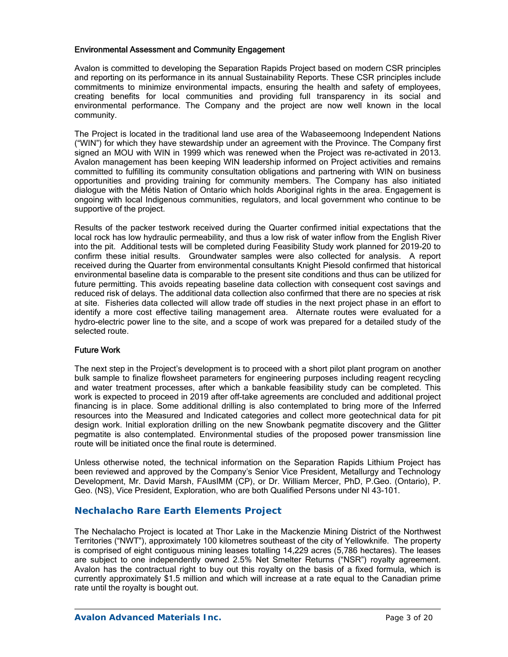#### Environmental Assessment and Community Engagement

Avalon is committed to developing the Separation Rapids Project based on modern CSR principles and reporting on its performance in its annual Sustainability Reports. These CSR principles include commitments to minimize environmental impacts, ensuring the health and safety of employees, creating benefits for local communities and providing full transparency in its social and environmental performance. The Company and the project are now well known in the local community.

The Project is located in the traditional land use area of the Wabaseemoong Independent Nations ("WIN") for which they have stewardship under an agreement with the Province. The Company first signed an MOU with WIN in 1999 which was renewed when the Project was re-activated in 2013. Avalon management has been keeping WIN leadership informed on Project activities and remains committed to fulfilling its community consultation obligations and partnering with WIN on business opportunities and providing training for community members. The Company has also initiated dialogue with the Métis Nation of Ontario which holds Aboriginal rights in the area. Engagement is ongoing with local Indigenous communities, regulators, and local government who continue to be supportive of the project.

Results of the packer testwork received during the Quarter confirmed initial expectations that the local rock has low hydraulic permeability, and thus a low risk of water inflow from the English River into the pit. Additional tests will be completed during Feasibility Study work planned for 2019-20 to confirm these initial results. Groundwater samples were also collected for analysis. A report received during the Quarter from environmental consultants Knight Piesold confirmed that historical environmental baseline data is comparable to the present site conditions and thus can be utilized for future permitting. This avoids repeating baseline data collection with consequent cost savings and reduced risk of delays. The additional data collection also confirmed that there are no species at risk at site. Fisheries data collected will allow trade off studies in the next project phase in an effort to identify a more cost effective tailing management area. Alternate routes were evaluated for a hydro-electric power line to the site, and a scope of work was prepared for a detailed study of the selected route.

#### Future Work

The next step in the Project's development is to proceed with a short pilot plant program on another bulk sample to finalize flowsheet parameters for engineering purposes including reagent recycling and water treatment processes, after which a bankable feasibility study can be completed. This work is expected to proceed in 2019 after off-take agreements are concluded and additional project financing is in place. Some additional drilling is also contemplated to bring more of the Inferred resources into the Measured and Indicated categories and collect more geotechnical data for pit design work. Initial exploration drilling on the new Snowbank pegmatite discovery and the Glitter pegmatite is also contemplated. Environmental studies of the proposed power transmission line route will be initiated once the final route is determined.

Unless otherwise noted, the technical information on the Separation Rapids Lithium Project has been reviewed and approved by the Company's Senior Vice President, Metallurgy and Technology Development, Mr. David Marsh, FAusIMM (CP), or Dr. William Mercer, PhD, P.Geo. (Ontario), P. Geo. (NS), Vice President, Exploration, who are both Qualified Persons under NI 43-101.

#### **Nechalacho Rare Earth Elements Project**

The Nechalacho Project is located at Thor Lake in the Mackenzie Mining District of the Northwest Territories ("NWT"), approximately 100 kilometres southeast of the city of Yellowknife. The property is comprised of eight contiguous mining leases totalling 14,229 acres (5,786 hectares). The leases are subject to one independently owned 2.5% Net Smelter Returns ("NSR") royalty agreement. Avalon has the contractual right to buy out this royalty on the basis of a fixed formula, which is currently approximately \$1.5 million and which will increase at a rate equal to the Canadian prime rate until the royalty is bought out.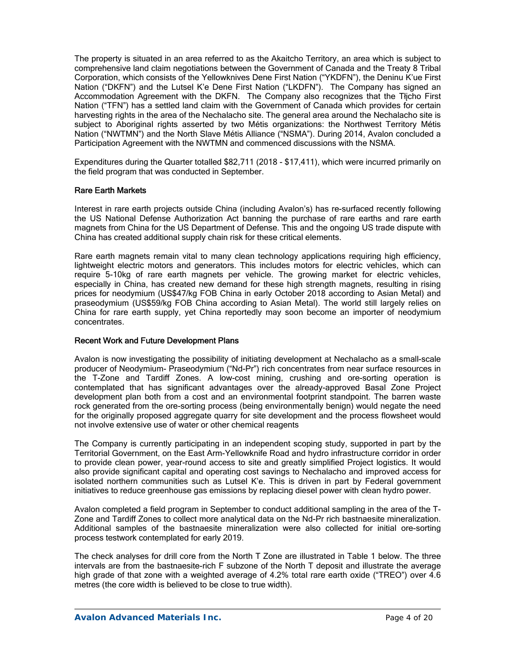The property is situated in an area referred to as the Akaitcho Territory, an area which is subject to comprehensive land claim negotiations between the Government of Canada and the Treaty 8 Tribal Corporation, which consists of the Yellowknives Dene First Nation ("YKDFN"), the Deninu K'ue First Nation ("DKFN") and the Lutsel K'e Dene First Nation ("LKDFN"). The Company has signed an Accommodation Agreement with the DKFN. The Company also recognizes that the Tłįcho First Nation ("TFN") has a settled land claim with the Government of Canada which provides for certain harvesting rights in the area of the Nechalacho site. The general area around the Nechalacho site is subject to Aboriginal rights asserted by two Métis organizations: the Northwest Territory Métis Nation ("NWTMN") and the North Slave Métis Alliance ("NSMA"). During 2014, Avalon concluded a Participation Agreement with the NWTMN and commenced discussions with the NSMA.

Expenditures during the Quarter totalled \$82,711 (2018 - \$17,411), which were incurred primarily on the field program that was conducted in September.

#### Rare Earth Markets

Interest in rare earth projects outside China (including Avalon's) has re-surfaced recently following the US National Defense Authorization Act banning the purchase of rare earths and rare earth magnets from China for the US Department of Defense. This and the ongoing US trade dispute with China has created additional supply chain risk for these critical elements.

Rare earth magnets remain vital to many clean technology applications requiring high efficiency, lightweight electric motors and generators. This includes motors for electric vehicles, which can require 5-10kg of rare earth magnets per vehicle. The growing market for electric vehicles, especially in China, has created new demand for these high strength magnets, resulting in rising prices for neodymium (US\$47/kg FOB China in early October 2018 according to Asian Metal) and praseodymium (US\$59/kg FOB China according to Asian Metal). The world still largely relies on China for rare earth supply, yet China reportedly may soon become an importer of neodymium concentrates.

#### Recent Work and Future Development Plans

Avalon is now investigating the possibility of initiating development at Nechalacho as a small-scale producer of Neodymium- Praseodymium ("Nd-Pr") rich concentrates from near surface resources in the T-Zone and Tardiff Zones. A low-cost mining, crushing and ore-sorting operation is contemplated that has significant advantages over the already-approved Basal Zone Project development plan both from a cost and an environmental footprint standpoint. The barren waste rock generated from the ore-sorting process (being environmentally benign) would negate the need for the originally proposed aggregate quarry for site development and the process flowsheet would not involve extensive use of water or other chemical reagents

The Company is currently participating in an independent scoping study, supported in part by the Territorial Government, on the East Arm-Yellowknife Road and hydro infrastructure corridor in order to provide clean power, year-round access to site and greatly simplified Project logistics. It would also provide significant capital and operating cost savings to Nechalacho and improved access for isolated northern communities such as Lutsel K'e. This is driven in part by Federal government initiatives to reduce greenhouse gas emissions by replacing diesel power with clean hydro power.

Avalon completed a field program in September to conduct additional sampling in the area of the T-Zone and Tardiff Zones to collect more analytical data on the Nd-Pr rich bastnaesite mineralization. Additional samples of the bastnaesite mineralization were also collected for initial ore-sorting process testwork contemplated for early 2019.

The check analyses for drill core from the North T Zone are illustrated in Table 1 below. The three intervals are from the bastnaesite-rich F subzone of the North T deposit and illustrate the average high grade of that zone with a weighted average of 4.2% total rare earth oxide ("TREO") over 4.6 metres (the core width is believed to be close to true width).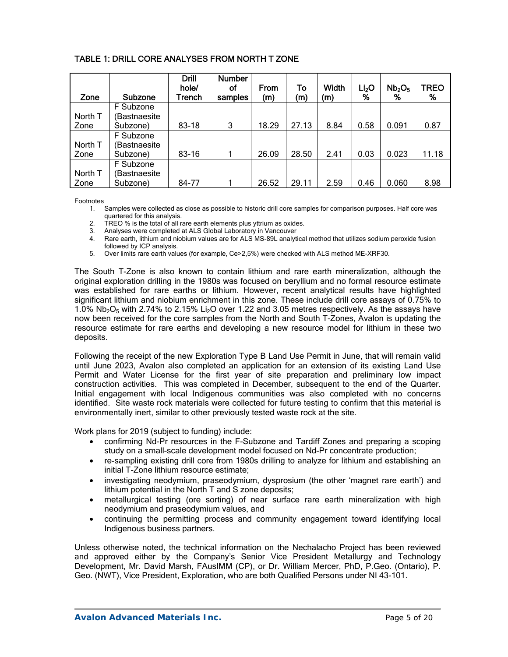| Zone    | Subzone      | Drill<br>hole/<br>Trench | <b>Number</b><br>οf<br>samples | From<br>(m) | To<br>(m) | <b>Width</b><br>(m) | Li <sub>2</sub> O<br>% | Nb <sub>2</sub> O <sub>5</sub><br>% | <b>TREO</b><br>% |
|---------|--------------|--------------------------|--------------------------------|-------------|-----------|---------------------|------------------------|-------------------------------------|------------------|
|         | F Subzone    |                          |                                |             |           |                     |                        |                                     |                  |
| North T | (Bastnaesite |                          |                                |             |           |                     |                        |                                     |                  |
| Zone    | Subzone)     | 83-18                    | 3                              | 18.29       | 27.13     | 8.84                | 0.58                   | 0.091                               | 0.87             |
|         | F Subzone    |                          |                                |             |           |                     |                        |                                     |                  |
| North T | (Bastnaesite |                          |                                |             |           |                     |                        |                                     |                  |
| Zone    | Subzone)     | 83-16                    |                                | 26.09       | 28.50     | 2.41                | 0.03                   | 0.023                               | 11.18            |
|         | F Subzone    |                          |                                |             |           |                     |                        |                                     |                  |
| North T | (Bastnaesite |                          |                                |             |           |                     |                        |                                     |                  |
| Zone    | Subzone)     | 84-77                    |                                | 26.52       | 29.11     | 2.59                | 0.46                   | 0.060                               | 8.98             |

### TABLE 1: DRILL CORE ANALYSES FROM NORTH T ZONE

Footnotes

1. Samples were collected as close as possible to historic drill core samples for comparison purposes. Half core was quartered for this analysis.

- 2. TREO % is the total of all rare earth elements plus yttrium as oxides.
- 3. Analyses were completed at ALS Global Laboratory in Vancouver
- 4. Rare earth, lithium and niobium values are for ALS MS-89L analytical method that utilizes sodium peroxide fusion followed by ICP analysis.
- 5. Over limits rare earth values (for example, Ce>2,5%) were checked with ALS method ME-XRF30.

The South T-Zone is also known to contain lithium and rare earth mineralization, although the original exploration drilling in the 1980s was focused on beryllium and no formal resource estimate was established for rare earths or lithium. However, recent analytical results have highlighted significant lithium and niobium enrichment in this zone. These include drill core assays of 0.75% to 1.0%  $Nb_2O_5$  with 2.74% to 2.15% Li<sub>2</sub>O over 1.22 and 3.05 metres respectively. As the assays have now been received for the core samples from the North and South T-Zones, Avalon is updating the resource estimate for rare earths and developing a new resource model for lithium in these two deposits.

Following the receipt of the new Exploration Type B Land Use Permit in June, that will remain valid until June 2023, Avalon also completed an application for an extension of its existing Land Use Permit and Water License for the first year of site preparation and preliminary low impact construction activities. This was completed in December, subsequent to the end of the Quarter. Initial engagement with local Indigenous communities was also completed with no concerns identified. Site waste rock materials were collected for future testing to confirm that this material is environmentally inert, similar to other previously tested waste rock at the site.

Work plans for 2019 (subject to funding) include:

- confirming Nd-Pr resources in the F-Subzone and Tardiff Zones and preparing a scoping study on a small-scale development model focused on Nd-Pr concentrate production;
- re-sampling existing drill core from 1980s drilling to analyze for lithium and establishing an initial T-Zone lithium resource estimate;
- investigating neodymium, praseodymium, dysprosium (the other 'magnet rare earth') and lithium potential in the North T and S zone deposits;
- metallurgical testing (ore sorting) of near surface rare earth mineralization with high neodymium and praseodymium values, and
- continuing the permitting process and community engagement toward identifying local Indigenous business partners.

Unless otherwise noted, the technical information on the Nechalacho Project has been reviewed and approved either by the Company's Senior Vice President Metallurgy and Technology Development, Mr. David Marsh, FAusIMM (CP), or Dr. William Mercer, PhD, P.Geo. (Ontario), P. Geo. (NWT), Vice President, Exploration, who are both Qualified Persons under NI 43-101.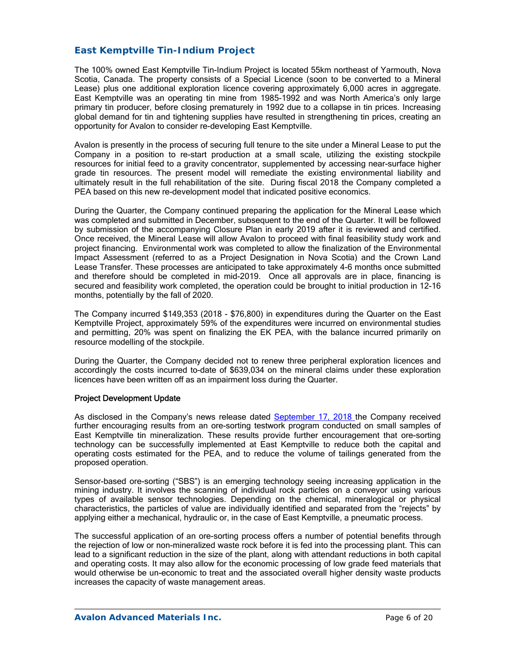### *East Kemptville Tin-Indium Project*

The 100% owned East Kemptville Tin-Indium Project is located 55km northeast of Yarmouth, Nova Scotia, Canada. The property consists of a Special Licence (soon to be converted to a Mineral Lease) plus one additional exploration licence covering approximately 6,000 acres in aggregate. East Kemptville was an operating tin mine from 1985-1992 and was North America's only large primary tin producer, before closing prematurely in 1992 due to a collapse in tin prices. Increasing global demand for tin and tightening supplies have resulted in strengthening tin prices, creating an opportunity for Avalon to consider re-developing East Kemptville.

Avalon is presently in the process of securing full tenure to the site under a Mineral Lease to put the Company in a position to re-start production at a small scale, utilizing the existing stockpile resources for initial feed to a gravity concentrator, supplemented by accessing near-surface higher grade tin resources. The present model will remediate the existing environmental liability and ultimately result in the full rehabilitation of the site. During fiscal 2018 the Company completed a PEA based on this new re-development model that indicated positive economics.

During the Quarter, the Company continued preparing the application for the Mineral Lease which was completed and submitted in December, subsequent to the end of the Quarter. It will be followed by submission of the accompanying Closure Plan in early 2019 after it is reviewed and certified. Once received, the Mineral Lease will allow Avalon to proceed with final feasibility study work and project financing. Environmental work was completed to allow the finalization of the Environmental Impact Assessment (referred to as a Project Designation in Nova Scotia) and the Crown Land Lease Transfer. These processes are anticipated to take approximately 4-6 months once submitted and therefore should be completed in mid-2019. Once all approvals are in place, financing is secured and feasibility work completed, the operation could be brought to initial production in 12-16 months, potentially by the fall of 2020.

The Company incurred \$149,353 (2018 - \$76,800) in expenditures during the Quarter on the East Kemptville Project, approximately 59% of the expenditures were incurred on environmental studies and permitting, 20% was spent on finalizing the EK PEA, with the balance incurred primarily on resource modelling of the stockpile.

During the Quarter, the Company decided not to renew three peripheral exploration licences and accordingly the costs incurred to-date of \$639,034 on the mineral claims under these exploration licences have been written off as an impairment loss during the Quarter.

#### Project Development Update

As disclosed in the Company's news release dated September 17, 2018 the Company received further encouraging results from an ore-sorting testwork program conducted on small samples of East Kemptville tin mineralization. These results provide further encouragement that ore-sorting technology can be successfully implemented at East Kemptville to reduce both the capital and operating costs estimated for the PEA, and to reduce the volume of tailings generated from the proposed operation.

Sensor-based ore-sorting ("SBS") is an emerging technology seeing increasing application in the mining industry. It involves the scanning of individual rock particles on a conveyor using various types of available sensor technologies. Depending on the chemical, mineralogical or physical characteristics, the particles of value are individually identified and separated from the "rejects" by applying either a mechanical, hydraulic or, in the case of East Kemptville, a pneumatic process.

The successful application of an ore-sorting process offers a number of potential benefits through the rejection of low or non-mineralized waste rock before it is fed into the processing plant. This can lead to a significant reduction in the size of the plant, along with attendant reductions in both capital and operating costs. It may also allow for the economic processing of low grade feed materials that would otherwise be un-economic to treat and the associated overall higher density waste products increases the capacity of waste management areas.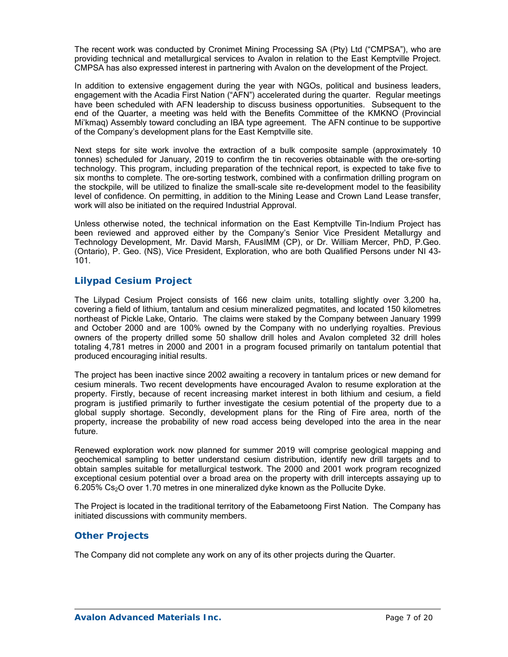The recent work was conducted by Cronimet Mining Processing SA (Pty) Ltd ("CMPSA"), who are providing technical and metallurgical services to Avalon in relation to the East Kemptville Project. CMPSA has also expressed interest in partnering with Avalon on the development of the Project.

In addition to extensive engagement during the year with NGOs, political and business leaders, engagement with the Acadia First Nation ("AFN") accelerated during the quarter. Regular meetings have been scheduled with AFN leadership to discuss business opportunities. Subsequent to the end of the Quarter, a meeting was held with the Benefits Committee of the KMKNO (Provincial Mi'kmaq) Assembly toward concluding an IBA type agreement. The AFN continue to be supportive of the Company's development plans for the East Kemptville site.

Next steps for site work involve the extraction of a bulk composite sample (approximately 10 tonnes) scheduled for January, 2019 to confirm the tin recoveries obtainable with the ore-sorting technology. This program, including preparation of the technical report, is expected to take five to six months to complete. The ore-sorting testwork, combined with a confirmation drilling program on the stockpile, will be utilized to finalize the small-scale site re-development model to the feasibility level of confidence. On permitting, in addition to the Mining Lease and Crown Land Lease transfer, work will also be initiated on the required Industrial Approval.

Unless otherwise noted, the technical information on the East Kemptville Tin-Indium Project has been reviewed and approved either by the Company's Senior Vice President Metallurgy and Technology Development, Mr. David Marsh, FAusIMM (CP), or Dr. William Mercer, PhD, P.Geo. (Ontario), P. Geo. (NS), Vice President, Exploration, who are both Qualified Persons under NI 43- 101.

### *Lilypad Cesium Project*

The Lilypad Cesium Project consists of 166 new claim units, totalling slightly over 3,200 ha, covering a field of lithium, tantalum and cesium mineralized pegmatites, and located 150 kilometres northeast of Pickle Lake, Ontario. The claims were staked by the Company between January 1999 and October 2000 and are 100% owned by the Company with no underlying royalties. Previous owners of the property drilled some 50 shallow drill holes and Avalon completed 32 drill holes totaling 4,781 metres in 2000 and 2001 in a program focused primarily on tantalum potential that produced encouraging initial results.

The project has been inactive since 2002 awaiting a recovery in tantalum prices or new demand for cesium minerals. Two recent developments have encouraged Avalon to resume exploration at the property. Firstly, because of recent increasing market interest in both lithium and cesium, a field program is justified primarily to further investigate the cesium potential of the property due to a global supply shortage. Secondly, development plans for the Ring of Fire area, north of the property, increase the probability of new road access being developed into the area in the near future.

Renewed exploration work now planned for summer 2019 will comprise geological mapping and geochemical sampling to better understand cesium distribution, identify new drill targets and to obtain samples suitable for metallurgical testwork. The 2000 and 2001 work program recognized exceptional cesium potential over a broad area on the property with drill intercepts assaying up to 6.205%  $Cs<sub>2</sub>O$  over 1.70 metres in one mineralized dyke known as the Pollucite Dyke.

The Project is located in the traditional territory of the Eabametoong First Nation. The Company has initiated discussions with community members.

### *Other Projects*

The Company did not complete any work on any of its other projects during the Quarter.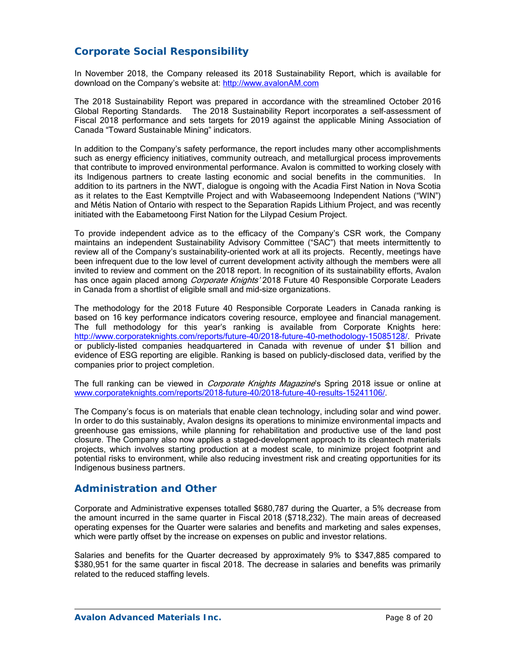# **Corporate Social Responsibility**

In November 2018, the Company released its 2018 Sustainability Report, which is available for download on the Company's website at: http://www.avalonAM.com

The 2018 Sustainability Report was prepared in accordance with the streamlined October 2016 Global Reporting Standards. The 2018 Sustainability Report incorporates a self-assessment of Fiscal 2018 performance and sets targets for 2019 against the applicable Mining Association of Canada "Toward Sustainable Mining" indicators.

In addition to the Company's safety performance, the report includes many other accomplishments such as energy efficiency initiatives, community outreach, and metallurgical process improvements that contribute to improved environmental performance. Avalon is committed to working closely with its Indigenous partners to create lasting economic and social benefits in the communities. In addition to its partners in the NWT, dialogue is ongoing with the Acadia First Nation in Nova Scotia as it relates to the East Kemptville Project and with Wabaseemoong Independent Nations ("WIN") and Métis Nation of Ontario with respect to the Separation Rapids Lithium Project, and was recently initiated with the Eabametoong First Nation for the Lilypad Cesium Project.

To provide independent advice as to the efficacy of the Company's CSR work, the Company maintains an independent Sustainability Advisory Committee ("SAC") that meets intermittently to review all of the Company's sustainability-oriented work at all its projects. Recently, meetings have been infrequent due to the low level of current development activity although the members were all invited to review and comment on the 2018 report. In recognition of its sustainability efforts, Avalon has once again placed among *Corporate Knights'* 2018 Future 40 Responsible Corporate Leaders in Canada from a shortlist of eligible small and mid-size organizations.

The methodology for the 2018 Future 40 Responsible Corporate Leaders in Canada ranking is based on 16 key performance indicators covering resource, employee and financial management. The full methodology for this year's ranking is available from Corporate Knights here: http://www.corporateknights.com/reports/future-40/2018-future-40-methodology-15085128/. Private or publicly-listed companies headquartered in Canada with revenue of under \$1 billion and evidence of ESG reporting are eligible. Ranking is based on publicly-disclosed data, verified by the companies prior to project completion.

The full ranking can be viewed in *Corporate Knights Magazine*'s Spring 2018 issue or online at www.corporateknights.com/reports/2018-future-40/2018-future-40-results-15241106/.

The Company's focus is on materials that enable clean technology, including solar and wind power. In order to do this sustainably, Avalon designs its operations to minimize environmental impacts and greenhouse gas emissions, while planning for rehabilitation and productive use of the land post closure. The Company also now applies a staged-development approach to its cleantech materials projects, which involves starting production at a modest scale, to minimize project footprint and potential risks to environment, while also reducing investment risk and creating opportunities for its Indigenous business partners.

### **Administration and Other**

Corporate and Administrative expenses totalled \$680,787 during the Quarter, a 5% decrease from the amount incurred in the same quarter in Fiscal 2018 (\$718,232). The main areas of decreased operating expenses for the Quarter were salaries and benefits and marketing and sales expenses, which were partly offset by the increase on expenses on public and investor relations.

Salaries and benefits for the Quarter decreased by approximately 9% to \$347,885 compared to \$380,951 for the same quarter in fiscal 2018. The decrease in salaries and benefits was primarily related to the reduced staffing levels.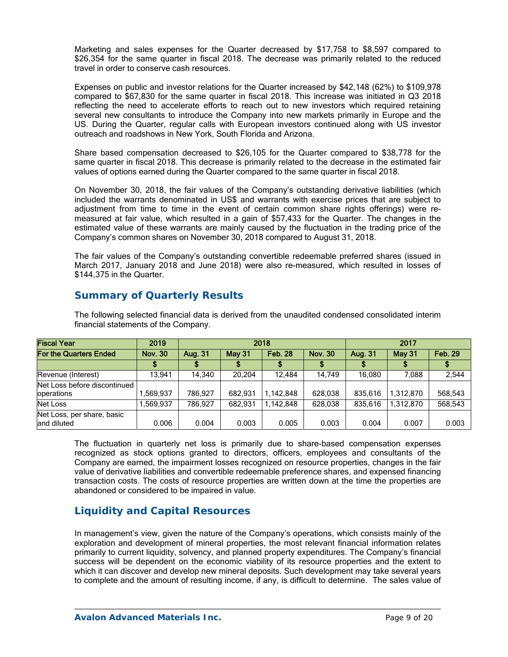Marketing and sales expenses for the Quarter decreased by \$17,758 to \$8,597 compared to \$26,354 for the same quarter in fiscal 2018. The decrease was primarily related to the reduced travel in order to conserve cash resources.

Expenses on public and investor relations for the Quarter increased by \$42,148 (62%) to \$109,978 compared to \$67,830 for the same quarter in fiscal 2018. This increase was initiated in Q3 2018 reflecting the need to accelerate efforts to reach out to new investors which required retaining several new consultants to introduce the Company into new markets primarily in Europe and the US. During the Quarter, regular calls with European investors continued along with US investor outreach and roadshows in New York, South Florida and Arizona.

Share based compensation decreased to \$26,105 for the Quarter compared to \$38,778 for the same quarter in fiscal 2018. This decrease is primarily related to the decrease in the estimated fair values of options earned during the Quarter compared to the same quarter in fiscal 2018.

On November 30, 2018, the fair values of the Company's outstanding derivative liabilities (which included the warrants denominated in US\$ and warrants with exercise prices that are subject to adjustment from time to time in the event of certain common share rights offerings) were remeasured at fair value, which resulted in a gain of \$57,433 for the Quarter. The changes in the estimated value of these warrants are mainly caused by the fluctuation in the trading price of the Company's common shares on November 30, 2018 compared to August 31, 2018.

The fair values of the Company's outstanding convertible redeemable preferred shares (issued in March 2017, January 2018 and June 2018) were also re-measured, which resulted in losses of \$144,375 in the Quarter.

## **Summary of Quarterly Results**

| <b>Fiscal Year</b>                         | 2019           | 2018           |               |                |                | 2017    |               |                |
|--------------------------------------------|----------------|----------------|---------------|----------------|----------------|---------|---------------|----------------|
| <b>For the Quarters Ended</b>              | <b>Nov. 30</b> | <b>Aug. 31</b> | <b>May 31</b> | <b>Feb. 28</b> | <b>Nov. 30</b> | Aug. 31 | <b>May 31</b> | <b>Feb. 29</b> |
|                                            |                |                |               |                |                |         |               |                |
| Revenue (Interest)                         | 13.941         | 14.340         | 20.204        | 12.484         | 14.749         | 16.080  | 7.088         | 2,544          |
| Net Loss before discontinued<br>operations | .569.937       | 786.927        | 682.931       | 1,142,848      | 628.038        | 835.616 | 1,312,870     | 568,543        |
| Net Loss                                   | .569.937       | 786.927        | 682.931       | 1.142.848      | 628.038        | 835.616 | 1.312.870     | 568,543        |
| Net Loss, per share, basic<br>land diluted | 0.006          | 0.004          | 0.003         | 0.005          | 0.003          | 0.004   | 0.007         | 0.003          |

The following selected financial data is derived from the unaudited condensed consolidated interim financial statements of the Company.

The fluctuation in quarterly net loss is primarily due to share-based compensation expenses recognized as stock options granted to directors, officers, employees and consultants of the Company are earned, the impairment losses recognized on resource properties, changes in the fair value of derivative liabilities and convertible redeemable preference shares, and expensed financing transaction costs. The costs of resource properties are written down at the time the properties are abandoned or considered to be impaired in value.

# **Liquidity and Capital Resources**

In management's view, given the nature of the Company's operations, which consists mainly of the exploration and development of mineral properties, the most relevant financial information relates primarily to current liquidity, solvency, and planned property expenditures. The Company's financial success will be dependent on the economic viability of its resource properties and the extent to which it can discover and develop new mineral deposits. Such development may take several years to complete and the amount of resulting income, if any, is difficult to determine. The sales value of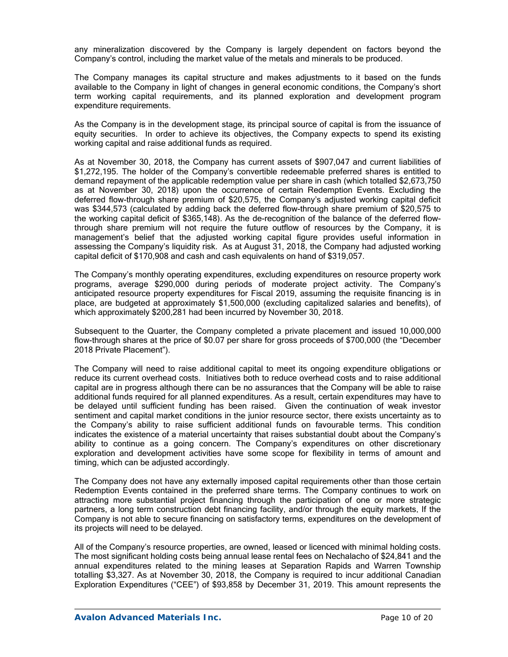any mineralization discovered by the Company is largely dependent on factors beyond the Company's control, including the market value of the metals and minerals to be produced.

The Company manages its capital structure and makes adjustments to it based on the funds available to the Company in light of changes in general economic conditions, the Company's short term working capital requirements, and its planned exploration and development program expenditure requirements.

As the Company is in the development stage, its principal source of capital is from the issuance of equity securities. In order to achieve its objectives, the Company expects to spend its existing working capital and raise additional funds as required.

As at November 30, 2018, the Company has current assets of \$907,047 and current liabilities of \$1,272,195. The holder of the Company's convertible redeemable preferred shares is entitled to demand repayment of the applicable redemption value per share in cash (which totalled \$2,673,750 as at November 30, 2018) upon the occurrence of certain Redemption Events. Excluding the deferred flow-through share premium of \$20,575, the Company's adjusted working capital deficit was \$344,573 (calculated by adding back the deferred flow-through share premium of \$20,575 to the working capital deficit of \$365,148). As the de-recognition of the balance of the deferred flowthrough share premium will not require the future outflow of resources by the Company, it is management's belief that the adjusted working capital figure provides useful information in assessing the Company's liquidity risk. As at August 31, 2018, the Company had adjusted working capital deficit of \$170,908 and cash and cash equivalents on hand of \$319,057.

The Company's monthly operating expenditures, excluding expenditures on resource property work programs, average \$290,000 during periods of moderate project activity. The Company's anticipated resource property expenditures for Fiscal 2019, assuming the requisite financing is in place, are budgeted at approximately \$1,500,000 (excluding capitalized salaries and benefits), of which approximately \$200,281 had been incurred by November 30, 2018.

Subsequent to the Quarter, the Company completed a private placement and issued 10,000,000 flow-through shares at the price of \$0.07 per share for gross proceeds of \$700,000 (the "December 2018 Private Placement").

The Company will need to raise additional capital to meet its ongoing expenditure obligations or reduce its current overhead costs. Initiatives both to reduce overhead costs and to raise additional capital are in progress although there can be no assurances that the Company will be able to raise additional funds required for all planned expenditures. As a result, certain expenditures may have to be delayed until sufficient funding has been raised. Given the continuation of weak investor sentiment and capital market conditions in the junior resource sector, there exists uncertainty as to the Company's ability to raise sufficient additional funds on favourable terms. This condition indicates the existence of a material uncertainty that raises substantial doubt about the Company's ability to continue as a going concern. The Company's expenditures on other discretionary exploration and development activities have some scope for flexibility in terms of amount and timing, which can be adjusted accordingly.

The Company does not have any externally imposed capital requirements other than those certain Redemption Events contained in the preferred share terms. The Company continues to work on attracting more substantial project financing through the participation of one or more strategic partners, a long term construction debt financing facility, and/or through the equity markets. If the Company is not able to secure financing on satisfactory terms, expenditures on the development of its projects will need to be delayed.

All of the Company's resource properties, are owned, leased or licenced with minimal holding costs. The most significant holding costs being annual lease rental fees on Nechalacho of \$24,841 and the annual expenditures related to the mining leases at Separation Rapids and Warren Township totalling \$3,327. As at November 30, 2018, the Company is required to incur additional Canadian Exploration Expenditures ("CEE") of \$93,858 by December 31, 2019. This amount represents the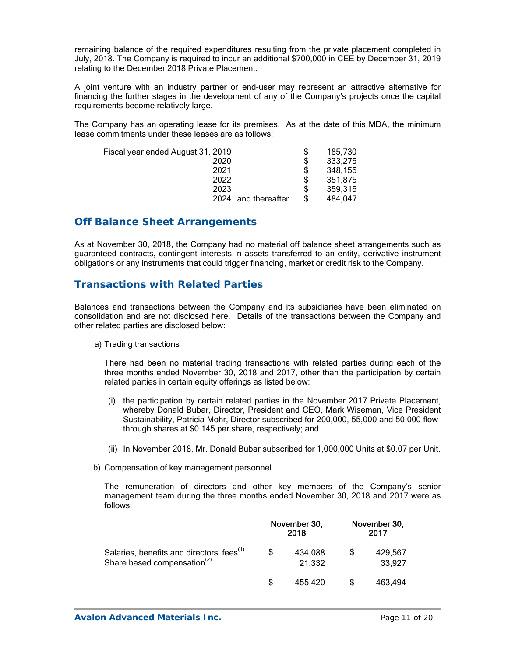remaining balance of the required expenditures resulting from the private placement completed in July, 2018. The Company is required to incur an additional \$700,000 in CEE by December 31, 2019 relating to the December 2018 Private Placement.

A joint venture with an industry partner or end-user may represent an attractive alternative for financing the further stages in the development of any of the Company's projects once the capital requirements become relatively large.

The Company has an operating lease for its premises. As at the date of this MDA, the minimum lease commitments under these leases are as follows:

| Fiscal year ended August 31, 2019 | \$ | 185,730 |
|-----------------------------------|----|---------|
| 2020                              | \$ | 333,275 |
| 2021                              | \$ | 348,155 |
| 2022                              | S  | 351.875 |
| 2023                              | S  | 359.315 |
| and thereafter<br>2024            | S  | 484.047 |

### **Off Balance Sheet Arrangements**

As at November 30, 2018, the Company had no material off balance sheet arrangements such as guaranteed contracts, contingent interests in assets transferred to an entity, derivative instrument obligations or any instruments that could trigger financing, market or credit risk to the Company.

### **Transactions with Related Parties**

Balances and transactions between the Company and its subsidiaries have been eliminated on consolidation and are not disclosed here. Details of the transactions between the Company and other related parties are disclosed below:

#### a) Trading transactions

There had been no material trading transactions with related parties during each of the three months ended November 30, 2018 and 2017, other than the participation by certain related parties in certain equity offerings as listed below:

- (i) the participation by certain related parties in the November 2017 Private Placement, whereby Donald Bubar, Director, President and CEO, Mark Wiseman, Vice President Sustainability, Patricia Mohr, Director subscribed for 200,000, 55,000 and 50,000 flowthrough shares at \$0.145 per share, respectively; and
- (ii) In November 2018, Mr. Donald Bubar subscribed for 1,000,000 Units at \$0.07 per Unit.
- b) Compensation of key management personnel

The remuneration of directors and other key members of the Company's senior management team during the three months ended November 30, 2018 and 2017 were as follows:

|                                                                                                  |   | November 30,<br>2018 | November 30,<br>2017 |                   |
|--------------------------------------------------------------------------------------------------|---|----------------------|----------------------|-------------------|
| Salaries, benefits and directors' fees <sup>(1)</sup><br>Share based compensation <sup>(2)</sup> | S | 434,088<br>21,332    |                      | 429,567<br>33,927 |
|                                                                                                  |   | 455,420              |                      | 463,494           |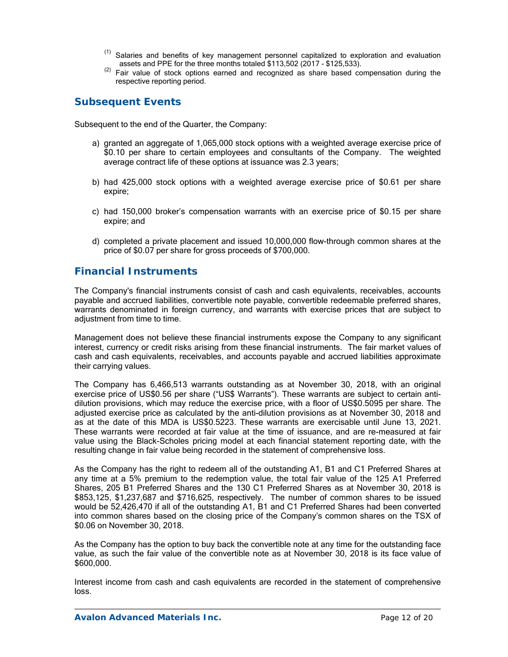- <sup>(1)</sup> Salaries and benefits of key management personnel capitalized to exploration and evaluation assets and PPE for the three months totaled \$113,502 (2017 \$125,533).
- $(2)$  Fair value of stock options earned and recognized as share based compensation during the respective reporting period.

## **Subsequent Events**

Subsequent to the end of the Quarter, the Company:

- a) granted an aggregate of 1,065,000 stock options with a weighted average exercise price of \$0.10 per share to certain employees and consultants of the Company. The weighted average contract life of these options at issuance was 2.3 years;
- b) had 425,000 stock options with a weighted average exercise price of \$0.61 per share expire;
- c) had 150,000 broker's compensation warrants with an exercise price of \$0.15 per share expire; and
- d) completed a private placement and issued 10,000,000 flow-through common shares at the price of \$0.07 per share for gross proceeds of \$700,000.

# **Financial Instruments**

The Company's financial instruments consist of cash and cash equivalents, receivables, accounts payable and accrued liabilities, convertible note payable, convertible redeemable preferred shares, warrants denominated in foreign currency, and warrants with exercise prices that are subject to adjustment from time to time.

Management does not believe these financial instruments expose the Company to any significant interest, currency or credit risks arising from these financial instruments. The fair market values of cash and cash equivalents, receivables, and accounts payable and accrued liabilities approximate their carrying values.

The Company has 6,466,513 warrants outstanding as at November 30, 2018, with an original exercise price of US\$0.56 per share ("US\$ Warrants"). These warrants are subject to certain antidilution provisions, which may reduce the exercise price, with a floor of US\$0.5095 per share. The adjusted exercise price as calculated by the anti-dilution provisions as at November 30, 2018 and as at the date of this MDA is US\$0.5223. These warrants are exercisable until June 13, 2021. These warrants were recorded at fair value at the time of issuance, and are re-measured at fair value using the Black-Scholes pricing model at each financial statement reporting date, with the resulting change in fair value being recorded in the statement of comprehensive loss.

As the Company has the right to redeem all of the outstanding A1, B1 and C1 Preferred Shares at any time at a 5% premium to the redemption value, the total fair value of the 125 A1 Preferred Shares, 205 B1 Preferred Shares and the 130 C1 Preferred Shares as at November 30, 2018 is \$853,125, \$1,237,687 and \$716,625, respectively. The number of common shares to be issued would be 52,426,470 if all of the outstanding A1, B1 and C1 Preferred Shares had been converted into common shares based on the closing price of the Company's common shares on the TSX of \$0.06 on November 30, 2018.

As the Company has the option to buy back the convertible note at any time for the outstanding face value, as such the fair value of the convertible note as at November 30, 2018 is its face value of \$600,000.

Interest income from cash and cash equivalents are recorded in the statement of comprehensive loss.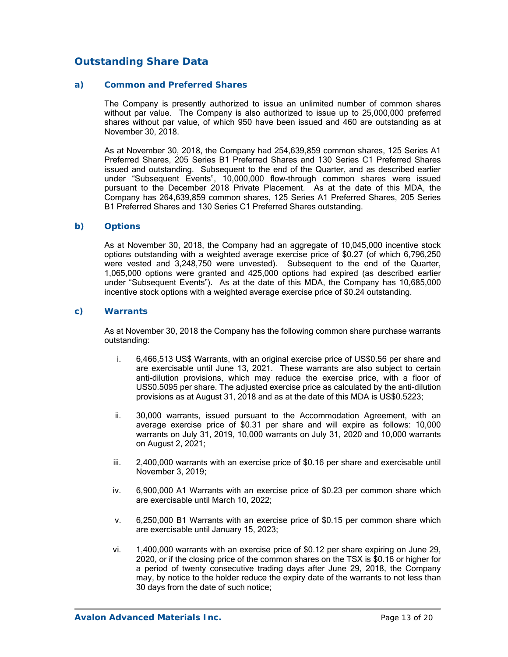## **Outstanding Share Data**

#### *a) Common and Preferred Shares*

The Company is presently authorized to issue an unlimited number of common shares without par value. The Company is also authorized to issue up to 25,000,000 preferred shares without par value, of which 950 have been issued and 460 are outstanding as at November 30, 2018.

As at November 30, 2018, the Company had 254,639,859 common shares, 125 Series A1 Preferred Shares, 205 Series B1 Preferred Shares and 130 Series C1 Preferred Shares issued and outstanding. Subsequent to the end of the Quarter, and as described earlier under "Subsequent Events", 10,000,000 flow-through common shares were issued pursuant to the December 2018 Private Placement. As at the date of this MDA, the Company has 264,639,859 common shares, 125 Series A1 Preferred Shares, 205 Series B1 Preferred Shares and 130 Series C1 Preferred Shares outstanding.

#### *b) Options*

As at November 30, 2018, the Company had an aggregate of 10,045,000 incentive stock options outstanding with a weighted average exercise price of \$0.27 (of which 6,796,250 were vested and 3,248,750 were unvested). Subsequent to the end of the Quarter, 1,065,000 options were granted and 425,000 options had expired (as described earlier under "Subsequent Events"). As at the date of this MDA, the Company has 10,685,000 incentive stock options with a weighted average exercise price of \$0.24 outstanding.

#### *c) Warrants*

As at November 30, 2018 the Company has the following common share purchase warrants outstanding:

- i. 6,466,513 US\$ Warrants, with an original exercise price of US\$0.56 per share and are exercisable until June 13, 2021. These warrants are also subject to certain anti-dilution provisions, which may reduce the exercise price, with a floor of US\$0.5095 per share. The adjusted exercise price as calculated by the anti-dilution provisions as at August 31, 2018 and as at the date of this MDA is US\$0.5223;
- ii. 30,000 warrants, issued pursuant to the Accommodation Agreement, with an average exercise price of \$0.31 per share and will expire as follows: 10,000 warrants on July 31, 2019, 10,000 warrants on July 31, 2020 and 10,000 warrants on August 2, 2021;
- iii. 2,400,000 warrants with an exercise price of \$0.16 per share and exercisable until November 3, 2019;
- iv. 6,900,000 A1 Warrants with an exercise price of \$0.23 per common share which are exercisable until March 10, 2022;
- v. 6,250,000 B1 Warrants with an exercise price of \$0.15 per common share which are exercisable until January 15, 2023;
- vi. 1,400,000 warrants with an exercise price of \$0.12 per share expiring on June 29, 2020, or if the closing price of the common shares on the TSX is \$0.16 or higher for a period of twenty consecutive trading days after June 29, 2018, the Company may, by notice to the holder reduce the expiry date of the warrants to not less than 30 days from the date of such notice;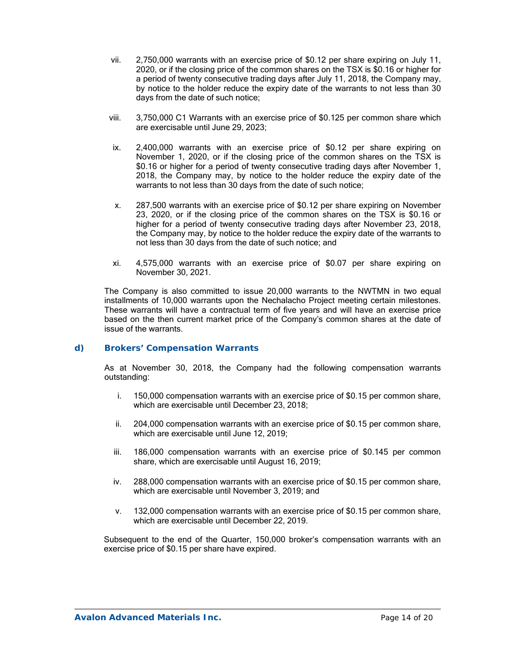- vii. 2,750,000 warrants with an exercise price of \$0.12 per share expiring on July 11, 2020, or if the closing price of the common shares on the TSX is \$0.16 or higher for a period of twenty consecutive trading days after July 11, 2018, the Company may, by notice to the holder reduce the expiry date of the warrants to not less than 30 days from the date of such notice;
- viii. 3,750,000 C1 Warrants with an exercise price of \$0.125 per common share which are exercisable until June 29, 2023;
- ix. 2,400,000 warrants with an exercise price of \$0.12 per share expiring on November 1, 2020, or if the closing price of the common shares on the TSX is \$0.16 or higher for a period of twenty consecutive trading days after November 1, 2018, the Company may, by notice to the holder reduce the expiry date of the warrants to not less than 30 days from the date of such notice;
- x. 287,500 warrants with an exercise price of \$0.12 per share expiring on November 23, 2020, or if the closing price of the common shares on the TSX is \$0.16 or higher for a period of twenty consecutive trading days after November 23, 2018, the Company may, by notice to the holder reduce the expiry date of the warrants to not less than 30 days from the date of such notice; and
- xi. 4,575,000 warrants with an exercise price of \$0.07 per share expiring on November 30, 2021.

The Company is also committed to issue 20,000 warrants to the NWTMN in two equal installments of 10,000 warrants upon the Nechalacho Project meeting certain milestones. These warrants will have a contractual term of five years and will have an exercise price based on the then current market price of the Company's common shares at the date of issue of the warrants.

#### *d) Brokers' Compensation Warrants*

As at November 30, 2018, the Company had the following compensation warrants outstanding:

- i. 150,000 compensation warrants with an exercise price of \$0.15 per common share, which are exercisable until December 23, 2018;
- ii. 204,000 compensation warrants with an exercise price of \$0.15 per common share, which are exercisable until June 12, 2019;
- iii. 186,000 compensation warrants with an exercise price of \$0.145 per common share, which are exercisable until August 16, 2019;
- iv. 288,000 compensation warrants with an exercise price of \$0.15 per common share, which are exercisable until November 3, 2019; and
- v. 132,000 compensation warrants with an exercise price of \$0.15 per common share, which are exercisable until December 22, 2019.

Subsequent to the end of the Quarter, 150,000 broker's compensation warrants with an exercise price of \$0.15 per share have expired.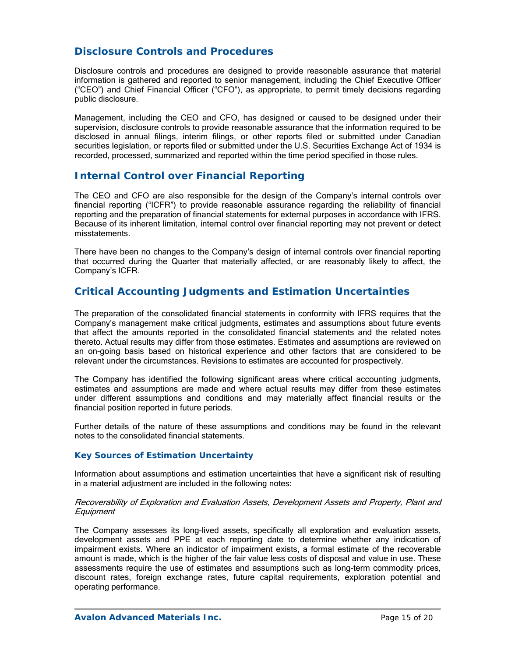### **Disclosure Controls and Procedures**

Disclosure controls and procedures are designed to provide reasonable assurance that material information is gathered and reported to senior management, including the Chief Executive Officer ("CEO") and Chief Financial Officer ("CFO"), as appropriate, to permit timely decisions regarding public disclosure.

Management, including the CEO and CFO, has designed or caused to be designed under their supervision, disclosure controls to provide reasonable assurance that the information required to be disclosed in annual filings, interim filings, or other reports filed or submitted under Canadian securities legislation, or reports filed or submitted under the U.S. Securities Exchange Act of 1934 is recorded, processed, summarized and reported within the time period specified in those rules.

### **Internal Control over Financial Reporting**

The CEO and CFO are also responsible for the design of the Company's internal controls over financial reporting ("ICFR") to provide reasonable assurance regarding the reliability of financial reporting and the preparation of financial statements for external purposes in accordance with IFRS. Because of its inherent limitation, internal control over financial reporting may not prevent or detect misstatements.

There have been no changes to the Company's design of internal controls over financial reporting that occurred during the Quarter that materially affected, or are reasonably likely to affect, the Company's ICFR.

### **Critical Accounting Judgments and Estimation Uncertainties**

The preparation of the consolidated financial statements in conformity with IFRS requires that the Company's management make critical judgments, estimates and assumptions about future events that affect the amounts reported in the consolidated financial statements and the related notes thereto. Actual results may differ from those estimates. Estimates and assumptions are reviewed on an on-going basis based on historical experience and other factors that are considered to be relevant under the circumstances. Revisions to estimates are accounted for prospectively.

The Company has identified the following significant areas where critical accounting judgments, estimates and assumptions are made and where actual results may differ from these estimates under different assumptions and conditions and may materially affect financial results or the financial position reported in future periods.

Further details of the nature of these assumptions and conditions may be found in the relevant notes to the consolidated financial statements.

#### *Key Sources of Estimation Uncertainty*

Information about assumptions and estimation uncertainties that have a significant risk of resulting in a material adjustment are included in the following notes:

#### Recoverability of Exploration and Evaluation Assets, Development Assets and Property, Plant and **Equipment**

The Company assesses its long-lived assets, specifically all exploration and evaluation assets, development assets and PPE at each reporting date to determine whether any indication of impairment exists. Where an indicator of impairment exists, a formal estimate of the recoverable amount is made, which is the higher of the fair value less costs of disposal and value in use. These assessments require the use of estimates and assumptions such as long-term commodity prices, discount rates, foreign exchange rates, future capital requirements, exploration potential and operating performance.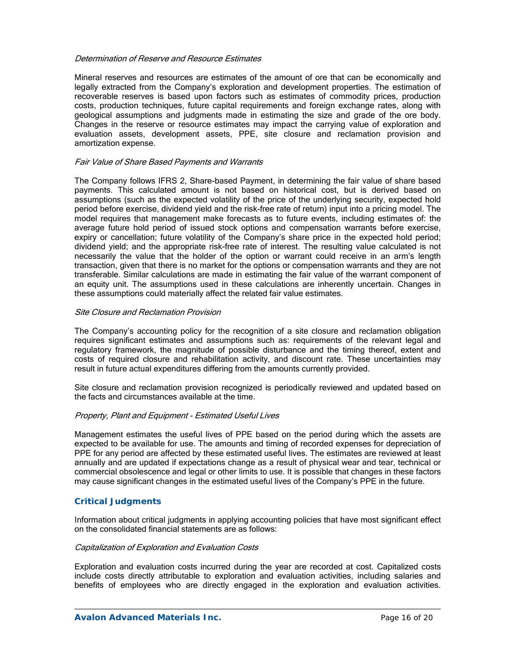#### Determination of Reserve and Resource Estimates

Mineral reserves and resources are estimates of the amount of ore that can be economically and legally extracted from the Company's exploration and development properties. The estimation of recoverable reserves is based upon factors such as estimates of commodity prices, production costs, production techniques, future capital requirements and foreign exchange rates, along with geological assumptions and judgments made in estimating the size and grade of the ore body. Changes in the reserve or resource estimates may impact the carrying value of exploration and evaluation assets, development assets, PPE, site closure and reclamation provision and amortization expense.

#### Fair Value of Share Based Payments and Warrants

The Company follows IFRS 2, Share-based Payment, in determining the fair value of share based payments. This calculated amount is not based on historical cost, but is derived based on assumptions (such as the expected volatility of the price of the underlying security, expected hold period before exercise, dividend yield and the risk-free rate of return) input into a pricing model. The model requires that management make forecasts as to future events, including estimates of: the average future hold period of issued stock options and compensation warrants before exercise, expiry or cancellation; future volatility of the Company's share price in the expected hold period; dividend yield; and the appropriate risk-free rate of interest. The resulting value calculated is not necessarily the value that the holder of the option or warrant could receive in an arm's length transaction, given that there is no market for the options or compensation warrants and they are not transferable. Similar calculations are made in estimating the fair value of the warrant component of an equity unit. The assumptions used in these calculations are inherently uncertain. Changes in these assumptions could materially affect the related fair value estimates.

#### Site Closure and Reclamation Provision

The Company's accounting policy for the recognition of a site closure and reclamation obligation requires significant estimates and assumptions such as: requirements of the relevant legal and regulatory framework, the magnitude of possible disturbance and the timing thereof, extent and costs of required closure and rehabilitation activity, and discount rate. These uncertainties may result in future actual expenditures differing from the amounts currently provided.

Site closure and reclamation provision recognized is periodically reviewed and updated based on the facts and circumstances available at the time.

#### Property, Plant and Equipment - Estimated Useful Lives

Management estimates the useful lives of PPE based on the period during which the assets are expected to be available for use. The amounts and timing of recorded expenses for depreciation of PPE for any period are affected by these estimated useful lives. The estimates are reviewed at least annually and are updated if expectations change as a result of physical wear and tear, technical or commercial obsolescence and legal or other limits to use. It is possible that changes in these factors may cause significant changes in the estimated useful lives of the Company's PPE in the future.

#### *Critical Judgments*

Information about critical judgments in applying accounting policies that have most significant effect on the consolidated financial statements are as follows:

#### Capitalization of Exploration and Evaluation Costs

Exploration and evaluation costs incurred during the year are recorded at cost. Capitalized costs include costs directly attributable to exploration and evaluation activities, including salaries and benefits of employees who are directly engaged in the exploration and evaluation activities.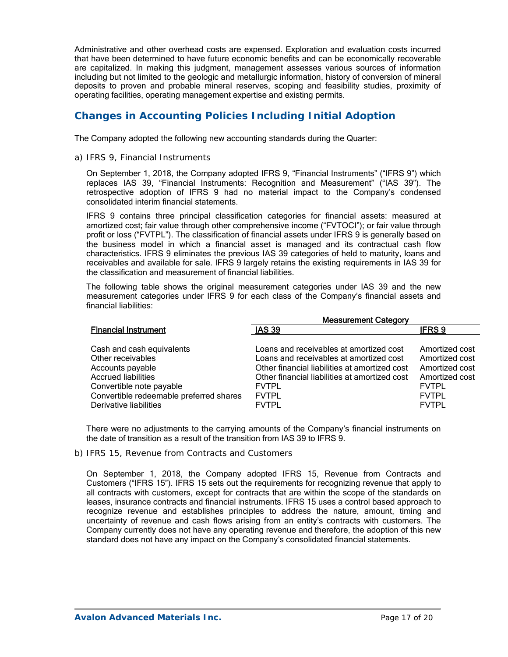Administrative and other overhead costs are expensed. Exploration and evaluation costs incurred that have been determined to have future economic benefits and can be economically recoverable are capitalized. In making this judgment, management assesses various sources of information including but not limited to the geologic and metallurgic information, history of conversion of mineral deposits to proven and probable mineral reserves, scoping and feasibility studies, proximity of operating facilities, operating management expertise and existing permits.

# **Changes in Accounting Policies Including Initial Adoption**

The Company adopted the following new accounting standards during the Quarter:

*a) IFRS 9, Financial Instruments* 

On September 1, 2018, the Company adopted IFRS 9, "Financial Instruments" ("IFRS 9") which replaces IAS 39, "Financial Instruments: Recognition and Measurement" ("IAS 39"). The retrospective adoption of IFRS 9 had no material impact to the Company's condensed consolidated interim financial statements.

IFRS 9 contains three principal classification categories for financial assets: measured at amortized cost; fair value through other comprehensive income ("FVTOCI"); or fair value through profit or loss ("FVTPL"). The classification of financial assets under IFRS 9 is generally based on the business model in which a financial asset is managed and its contractual cash flow characteristics. IFRS 9 eliminates the previous IAS 39 categories of held to maturity, loans and receivables and available for sale. IFRS 9 largely retains the existing requirements in IAS 39 for the classification and measurement of financial liabilities.

The following table shows the original measurement categories under IAS 39 and the new measurement categories under IFRS 9 for each class of the Company's financial assets and financial liabilities:

|                                         | <b>Measurement Category</b>                   |                |  |  |  |  |
|-----------------------------------------|-----------------------------------------------|----------------|--|--|--|--|
| <b>Financial Instrument</b>             | <b>IAS 39</b>                                 | <b>IFRS 9</b>  |  |  |  |  |
|                                         |                                               |                |  |  |  |  |
| Cash and cash equivalents               | Loans and receivables at amortized cost       | Amortized cost |  |  |  |  |
| Other receivables                       | Loans and receivables at amortized cost       | Amortized cost |  |  |  |  |
| Accounts payable                        | Other financial liabilities at amortized cost | Amortized cost |  |  |  |  |
| <b>Accrued liabilities</b>              | Other financial liabilities at amortized cost | Amortized cost |  |  |  |  |
| Convertible note payable                | <b>FVTPL</b>                                  | <b>FVTPL</b>   |  |  |  |  |
| Convertible redeemable preferred shares | <b>FVTPL</b>                                  | <b>FVTPL</b>   |  |  |  |  |
| Derivative liabilities                  | <b>FVTPL</b>                                  | <b>FVTPL</b>   |  |  |  |  |

There were no adjustments to the carrying amounts of the Company's financial instruments on the date of transition as a result of the transition from IAS 39 to IFRS 9.

#### *b) IFRS 15, Revenue from Contracts and Customers*

On September 1, 2018, the Company adopted IFRS 15, Revenue from Contracts and Customers ("IFRS 15"). IFRS 15 sets out the requirements for recognizing revenue that apply to all contracts with customers, except for contracts that are within the scope of the standards on leases, insurance contracts and financial instruments. IFRS 15 uses a control based approach to recognize revenue and establishes principles to address the nature, amount, timing and uncertainty of revenue and cash flows arising from an entity's contracts with customers. The Company currently does not have any operating revenue and therefore, the adoption of this new standard does not have any impact on the Company's consolidated financial statements.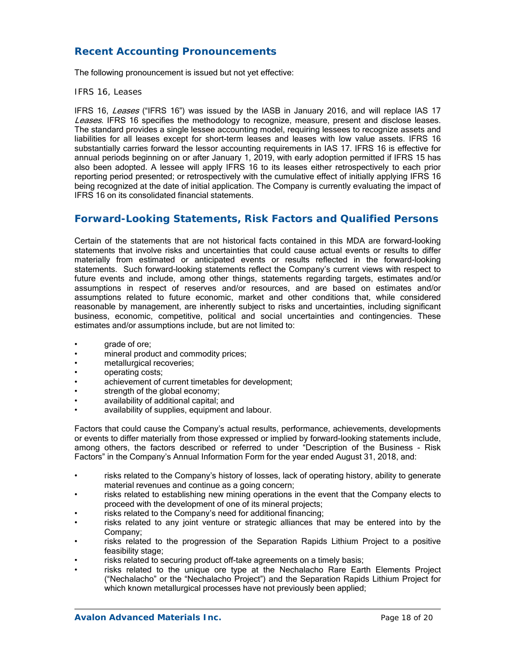# **Recent Accounting Pronouncements**

The following pronouncement is issued but not yet effective:

#### *IFRS 16, Leases*

IFRS 16, Leases ("IFRS 16") was issued by the IASB in January 2016, and will replace IAS 17 Leases. IFRS 16 specifies the methodology to recognize, measure, present and disclose leases. The standard provides a single lessee accounting model, requiring lessees to recognize assets and liabilities for all leases except for short-term leases and leases with low value assets. IFRS 16 substantially carries forward the lessor accounting requirements in IAS 17. IFRS 16 is effective for annual periods beginning on or after January 1, 2019, with early adoption permitted if IFRS 15 has also been adopted. A lessee will apply IFRS 16 to its leases either retrospectively to each prior reporting period presented; or retrospectively with the cumulative effect of initially applying IFRS 16 being recognized at the date of initial application. The Company is currently evaluating the impact of IFRS 16 on its consolidated financial statements.

## **Forward-Looking Statements, Risk Factors and Qualified Persons**

Certain of the statements that are not historical facts contained in this MDA are forward-looking statements that involve risks and uncertainties that could cause actual events or results to differ materially from estimated or anticipated events or results reflected in the forward-looking statements. Such forward-looking statements reflect the Company's current views with respect to future events and include, among other things, statements regarding targets, estimates and/or assumptions in respect of reserves and/or resources, and are based on estimates and/or assumptions related to future economic, market and other conditions that, while considered reasonable by management, are inherently subject to risks and uncertainties, including significant business, economic, competitive, political and social uncertainties and contingencies. These estimates and/or assumptions include, but are not limited to:

- qrade of ore;
- mineral product and commodity prices;
- metallurgical recoveries;
- operating costs;
- achievement of current timetables for development;
- strength of the global economy;
- availability of additional capital; and
- availability of supplies, equipment and labour.

Factors that could cause the Company's actual results, performance, achievements, developments or events to differ materially from those expressed or implied by forward-looking statements include, among others, the factors described or referred to under "Description of the Business - Risk Factors" in the Company's Annual Information Form for the year ended August 31, 2018, and:

- risks related to the Company's history of losses, lack of operating history, ability to generate material revenues and continue as a going concern;
- risks related to establishing new mining operations in the event that the Company elects to proceed with the development of one of its mineral projects;
- risks related to the Company's need for additional financing;
- risks related to any joint venture or strategic alliances that may be entered into by the Company;
- risks related to the progression of the Separation Rapids Lithium Project to a positive feasibility stage;
- risks related to securing product off-take agreements on a timely basis;
- risks related to the unique ore type at the Nechalacho Rare Earth Elements Project ("Nechalacho" or the "Nechalacho Project") and the Separation Rapids Lithium Project for which known metallurgical processes have not previously been applied;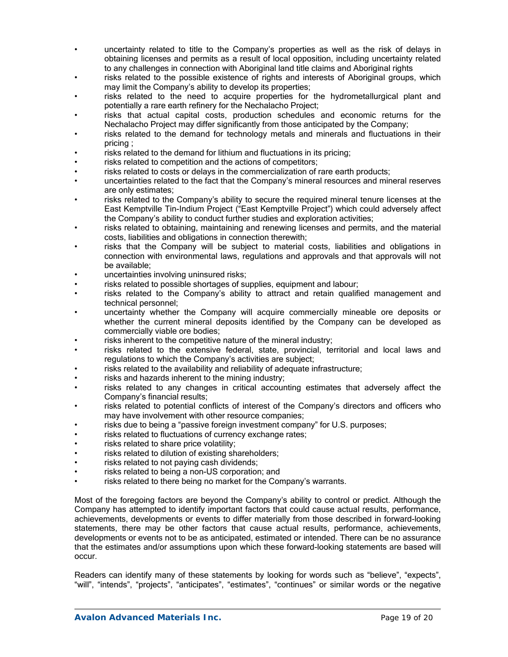- uncertainty related to title to the Company's properties as well as the risk of delays in obtaining licenses and permits as a result of local opposition, including uncertainty related to any challenges in connection with Aboriginal land title claims and Aboriginal rights
- risks related to the possible existence of rights and interests of Aboriginal groups, which may limit the Company's ability to develop its properties;
- risks related to the need to acquire properties for the hydrometallurgical plant and potentially a rare earth refinery for the Nechalacho Project;
- risks that actual capital costs, production schedules and economic returns for the Nechalacho Project may differ significantly from those anticipated by the Company;
- risks related to the demand for technology metals and minerals and fluctuations in their pricing ;
- risks related to the demand for lithium and fluctuations in its pricing;
- risks related to competition and the actions of competitors:
- risks related to costs or delays in the commercialization of rare earth products;
- uncertainties related to the fact that the Company's mineral resources and mineral reserves are only estimates;
- risks related to the Company's ability to secure the required mineral tenure licenses at the East Kemptville Tin-Indium Project ("East Kemptville Project") which could adversely affect the Company's ability to conduct further studies and exploration activities;
- risks related to obtaining, maintaining and renewing licenses and permits, and the material costs, liabilities and obligations in connection therewith;
- risks that the Company will be subject to material costs, liabilities and obligations in connection with environmental laws, regulations and approvals and that approvals will not be available;
- uncertainties involving uninsured risks;
- risks related to possible shortages of supplies, equipment and labour;
- risks related to the Company's ability to attract and retain qualified management and technical personnel;
- uncertainty whether the Company will acquire commercially mineable ore deposits or whether the current mineral deposits identified by the Company can be developed as commercially viable ore bodies;
- risks inherent to the competitive nature of the mineral industry;
- risks related to the extensive federal, state, provincial, territorial and local laws and regulations to which the Company's activities are subject;
- risks related to the availability and reliability of adequate infrastructure;
- risks and hazards inherent to the mining industry;
- risks related to any changes in critical accounting estimates that adversely affect the Company's financial results;
- risks related to potential conflicts of interest of the Company's directors and officers who may have involvement with other resource companies;
- risks due to being a "passive foreign investment company" for U.S. purposes;
- risks related to fluctuations of currency exchange rates;
- risks related to share price volatility;
- risks related to dilution of existing shareholders:
- risks related to not paying cash dividends;
- risks related to being a non-US corporation; and
- risks related to there being no market for the Company's warrants.

Most of the foregoing factors are beyond the Company's ability to control or predict. Although the Company has attempted to identify important factors that could cause actual results, performance, achievements, developments or events to differ materially from those described in forward-looking statements, there may be other factors that cause actual results, performance, achievements, developments or events not to be as anticipated, estimated or intended. There can be no assurance that the estimates and/or assumptions upon which these forward-looking statements are based will occur.

Readers can identify many of these statements by looking for words such as "believe", "expects", "will", "intends", "projects", "anticipates", "estimates", "continues" or similar words or the negative